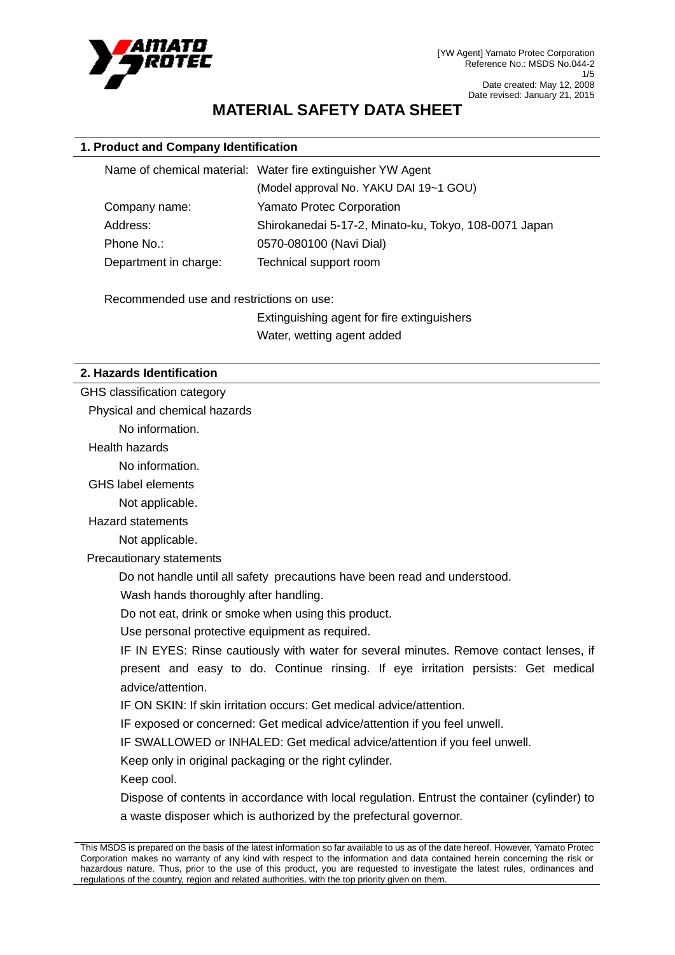

# **MATERIAL SAFETY DATA SHEET**

# **1. Product and Company Identification**

| Name of chemical material: Water fire extinguisher YW Agent |  |
|-------------------------------------------------------------|--|
| (Model approval No. YAKU DAI 19~1 GOU)                      |  |
| <b>Yamato Protec Corporation</b>                            |  |
| Shirokanedai 5-17-2, Minato-ku, Tokyo, 108-0071 Japan       |  |
| 0570-080100 (Navi Dial)                                     |  |
| Technical support room                                      |  |
|                                                             |  |

Recommended use and restrictions on use:

Extinguishing agent for fire extinguishers Water, wetting agent added

#### **2. Hazards Identification**

GHS classification category

Physical and chemical hazards

No information.

Health hazards

No information.

GHS label elements

Not applicable.

Hazard statements

Not applicable.

Precautionary statements

Do not handle until all safety precautions have been read and understood.

Wash hands thoroughly after handling.

Do not eat, drink or smoke when using this product.

Use personal protective equipment as required.

IF IN EYES: Rinse cautiously with water for several minutes. Remove contact lenses, if present and easy to do. Continue rinsing. If eye irritation persists: Get medical advice/attention.

IF ON SKIN: If skin irritation occurs: Get medical advice/attention.

IF exposed or concerned: Get medical advice/attention if you feel unwell.

IF SWALLOWED or INHALED: Get medical advice/attention if you feel unwell.

Keep only in original packaging or the right cylinder.

Keep cool.

Dispose of contents in accordance with local regulation. Entrust the container (cylinder) to a waste disposer which is authorized by the prefectural governor.

This MSDS is prepared on the basis of the latest information so far available to us as of the date hereof. However, Yamato Protec Corporation makes no warranty of any kind with respect to the information and data contained herein concerning the risk or hazardous nature. Thus, prior to the use of this product, you are requested to investigate the latest rules, ordinances and regulations of the country, region and related authorities, with the top priority given on them.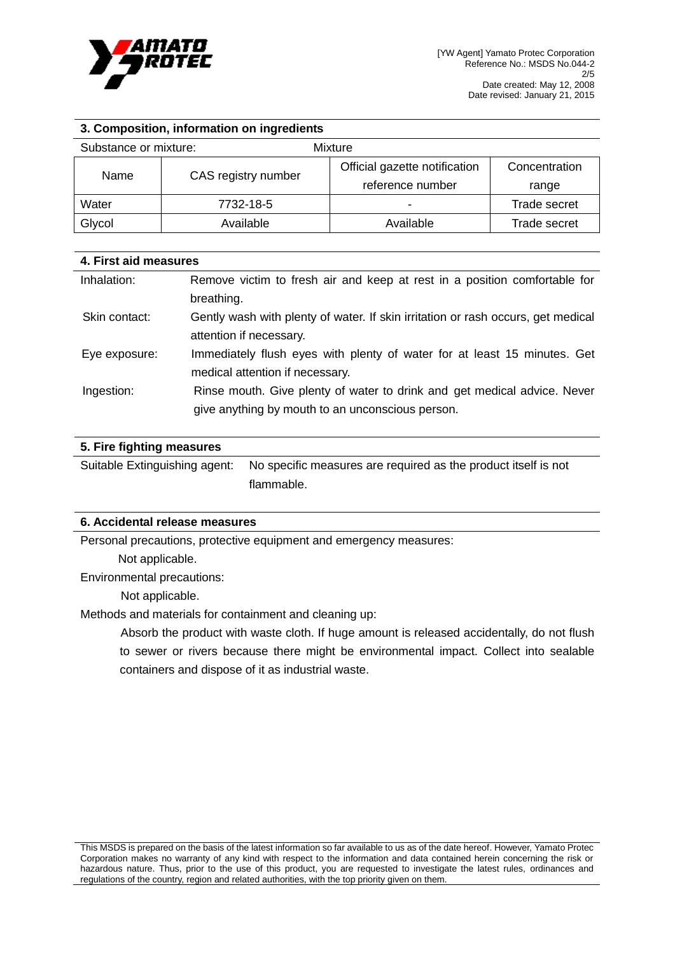

# **3. Composition, information on ingredients**

| Substance or mixture:       |                               | Mixture                  |              |
|-----------------------------|-------------------------------|--------------------------|--------------|
| CAS registry number<br>Name | Official gazette notification | Concentration            |              |
|                             |                               | reference number         | range        |
| Water                       | 7732-18-5                     | $\overline{\phantom{0}}$ | Trade secret |
| Glycol                      | Available                     | Available                | Trade secret |

### **4. First aid measures**

| Inhalation:   | Remove victim to fresh air and keep at rest in a position comfortable for        |
|---------------|----------------------------------------------------------------------------------|
|               | breathing.                                                                       |
| Skin contact: | Gently wash with plenty of water. If skin irritation or rash occurs, get medical |
|               | attention if necessary.                                                          |
| Eye exposure: | Immediately flush eyes with plenty of water for at least 15 minutes. Get         |
|               | medical attention if necessary.                                                  |
| Ingestion:    | Rinse mouth. Give plenty of water to drink and get medical advice. Never         |
|               | give anything by mouth to an unconscious person.                                 |

### **5. Fire fighting measures**

Suitable Extinguishing agent: No specific measures are required as the product itself is not flammable.

### **6. Accidental release measures**

Personal precautions, protective equipment and emergency measures:

Not applicable.

Environmental precautions:

Not applicable.

Methods and materials for containment and cleaning up:

Absorb the product with waste cloth. If huge amount is released accidentally, do not flush to sewer or rivers because there might be environmental impact. Collect into sealable containers and dispose of it as industrial waste.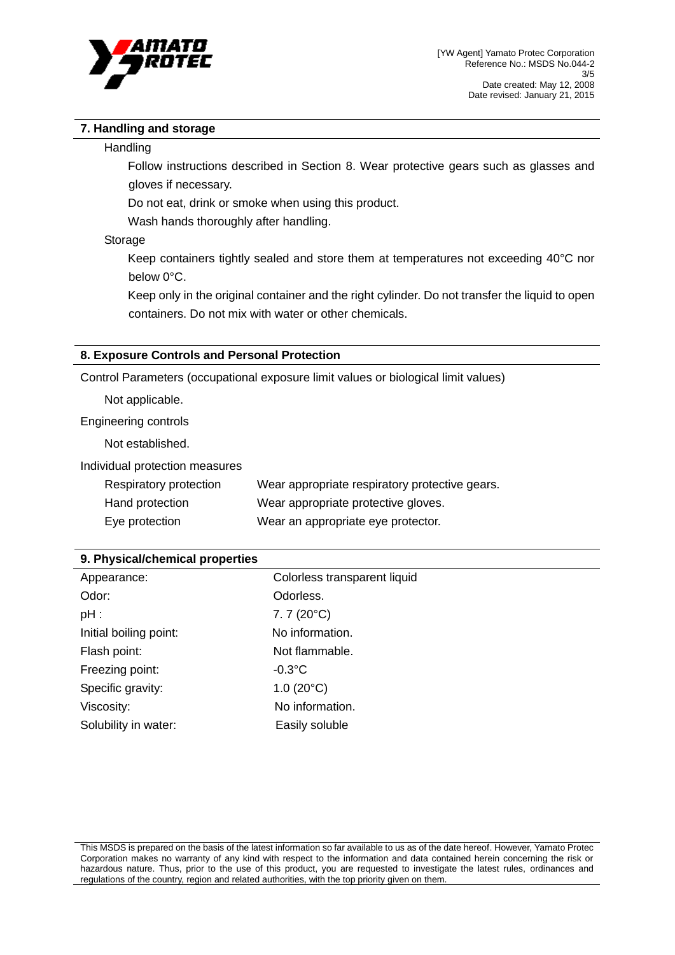

# **7. Handling and storage**

#### **Handling**

Follow instructions described in Section 8. Wear protective gears such as glasses and gloves if necessary.

Do not eat, drink or smoke when using this product.

Wash hands thoroughly after handling.

### Storage

Keep containers tightly sealed and store them at temperatures not exceeding 40°C nor below 0°C.

Keep only in the original container and the right cylinder. Do not transfer the liquid to open containers. Do not mix with water or other chemicals.

### **8. Exposure Controls and Personal Protection**

Control Parameters (occupational exposure limit values or biological limit values)

Not applicable.

Engineering controls

Not established.

Individual protection measures

| Respiratory protection | Wear appropriate respiratory protective gears. |
|------------------------|------------------------------------------------|
| Hand protection        | Wear appropriate protective gloves.            |
| Eye protection         | Wear an appropriate eye protector.             |

| 9. Physical/chemical properties |  |
|---------------------------------|--|
|---------------------------------|--|

| Appearance:            | Colorless transparent liquid |
|------------------------|------------------------------|
| Odor:                  | Odorless.                    |
| $pH$ :                 | $7.7(20^{\circ}C)$           |
| Initial boiling point: | No information.              |
| Flash point:           | Not flammable.               |
| Freezing point:        | $-0.3$ °C                    |
| Specific gravity:      | $1.0(20^{\circ}C)$           |
| Viscosity:             | No information.              |
| Solubility in water:   | Easily soluble               |

This MSDS is prepared on the basis of the latest information so far available to us as of the date hereof. However, Yamato Protec Corporation makes no warranty of any kind with respect to the information and data contained herein concerning the risk or hazardous nature. Thus, prior to the use of this product, you are requested to investigate the latest rules, ordinances and regulations of the country, region and related authorities, with the top priority given on them.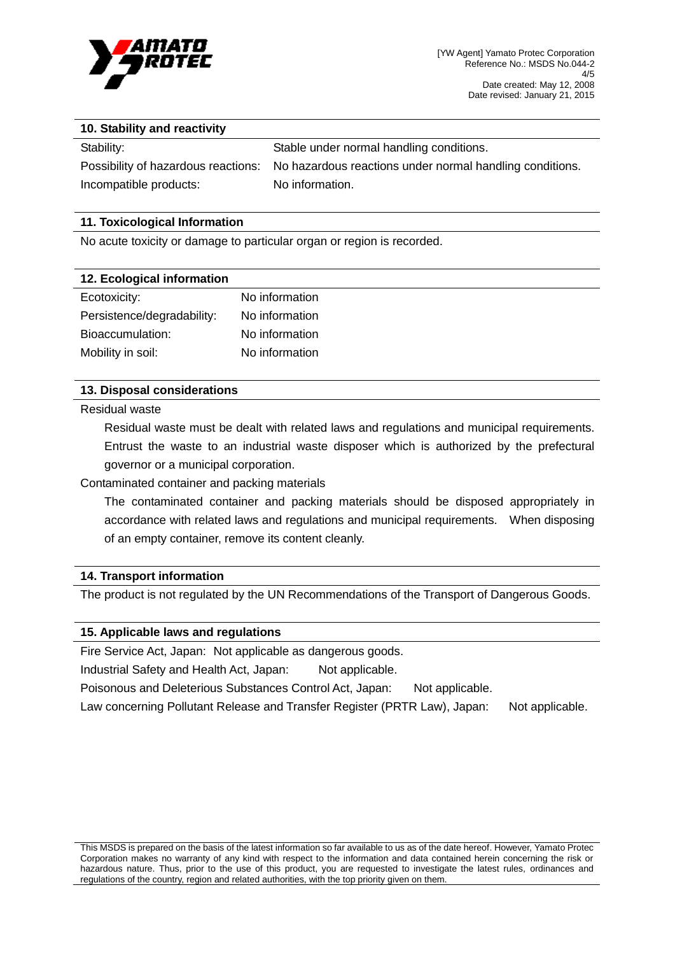

#### **10. Stability and reactivity**

Incompatible products: No information.

Stability: Stable under normal handling conditions. Possibility of hazardous reactions: No hazardous reactions under normal handling conditions.

### **11. Toxicological Information**

No acute toxicity or damage to particular organ or region is recorded.

| 12. Ecological information |                |
|----------------------------|----------------|
| Ecotoxicity:               | No information |
| Persistence/degradability: | No information |
| Bioaccumulation:           | No information |
| Mobility in soil:          | No information |

### **13. Disposal considerations**

Residual waste

Residual waste must be dealt with related laws and regulations and municipal requirements. Entrust the waste to an industrial waste disposer which is authorized by the prefectural governor or a municipal corporation.

Contaminated container and packing materials

The contaminated container and packing materials should be disposed appropriately in accordance with related laws and regulations and municipal requirements. When disposing of an empty container, remove its content cleanly.

## **14. Transport information**

The product is not regulated by the UN Recommendations of the Transport of Dangerous Goods.

#### **15. Applicable laws and regulations**

Fire Service Act, Japan: Not applicable as dangerous goods.

Industrial Safety and Health Act, Japan: Not applicable.

Poisonous and Deleterious Substances Control Act, Japan: Not applicable.

Law concerning Pollutant Release and Transfer Register (PRTR Law), Japan: Not applicable.

This MSDS is prepared on the basis of the latest information so far available to us as of the date hereof. However, Yamato Protec Corporation makes no warranty of any kind with respect to the information and data contained herein concerning the risk or hazardous nature. Thus, prior to the use of this product, you are requested to investigate the latest rules, ordinances and regulations of the country, region and related authorities, with the top priority given on them.